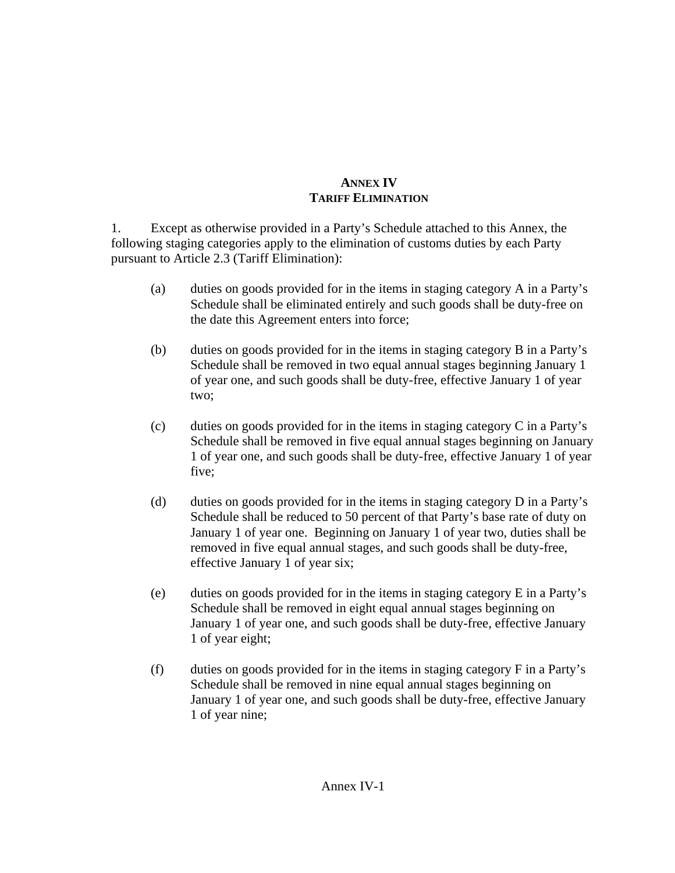## **ANNEX IV TARIFF ELIMINATION**

1. Except as otherwise provided in a Party's Schedule attached to this Annex, the following staging categories apply to the elimination of customs duties by each Party pursuant to Article 2.3 (Tariff Elimination):

- (a) duties on goods provided for in the items in staging category A in a Party's Schedule shall be eliminated entirely and such goods shall be duty-free on the date this Agreement enters into force;
- (b) duties on goods provided for in the items in staging category B in a Party's Schedule shall be removed in two equal annual stages beginning January 1 of year one, and such goods shall be duty-free, effective January 1 of year two;
- (c) duties on goods provided for in the items in staging category C in a Party's Schedule shall be removed in five equal annual stages beginning on January 1 of year one, and such goods shall be duty-free, effective January 1 of year five;
- (d) duties on goods provided for in the items in staging category D in a Party's Schedule shall be reduced to 50 percent of that Party's base rate of duty on January 1 of year one. Beginning on January 1 of year two, duties shall be removed in five equal annual stages, and such goods shall be duty-free, effective January 1 of year six;
- (e) duties on goods provided for in the items in staging category E in a Party's Schedule shall be removed in eight equal annual stages beginning on January 1 of year one, and such goods shall be duty-free, effective January 1 of year eight;
- (f) duties on goods provided for in the items in staging category F in a Party's Schedule shall be removed in nine equal annual stages beginning on January 1 of year one, and such goods shall be duty-free, effective January 1 of year nine;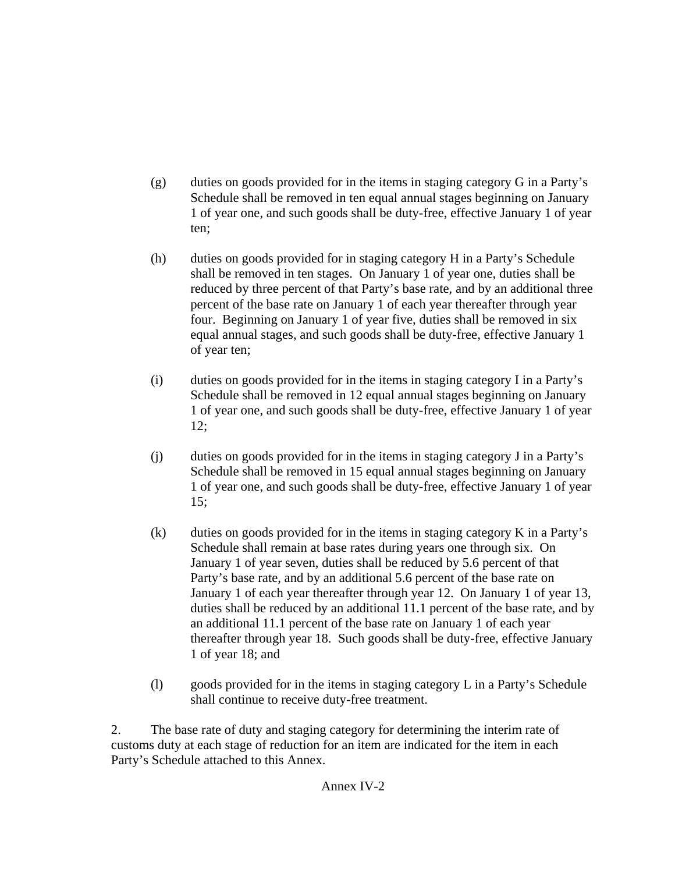- (g) duties on goods provided for in the items in staging category G in a Party's Schedule shall be removed in ten equal annual stages beginning on January 1 of year one, and such goods shall be duty-free, effective January 1 of year ten;
- (h) duties on goods provided for in staging category H in a Party's Schedule shall be removed in ten stages. On January 1 of year one, duties shall be reduced by three percent of that Party's base rate, and by an additional three percent of the base rate on January 1 of each year thereafter through year four. Beginning on January 1 of year five, duties shall be removed in six equal annual stages, and such goods shall be duty-free, effective January 1 of year ten;
- (i) duties on goods provided for in the items in staging category I in a Party's Schedule shall be removed in 12 equal annual stages beginning on January 1 of year one, and such goods shall be duty-free, effective January 1 of year  $12:$
- (j) duties on goods provided for in the items in staging category J in a Party's Schedule shall be removed in 15 equal annual stages beginning on January 1 of year one, and such goods shall be duty-free, effective January 1 of year 15;
- (k) duties on goods provided for in the items in staging category K in a Party's Schedule shall remain at base rates during years one through six. On January 1 of year seven, duties shall be reduced by 5.6 percent of that Party's base rate, and by an additional 5.6 percent of the base rate on January 1 of each year thereafter through year 12. On January 1 of year 13, duties shall be reduced by an additional 11.1 percent of the base rate, and by an additional 11.1 percent of the base rate on January 1 of each year thereafter through year 18. Such goods shall be duty-free, effective January 1 of year 18; and
- (l) goods provided for in the items in staging category L in a Party's Schedule shall continue to receive duty-free treatment.

2. The base rate of duty and staging category for determining the interim rate of customs duty at each stage of reduction for an item are indicated for the item in each Party's Schedule attached to this Annex.